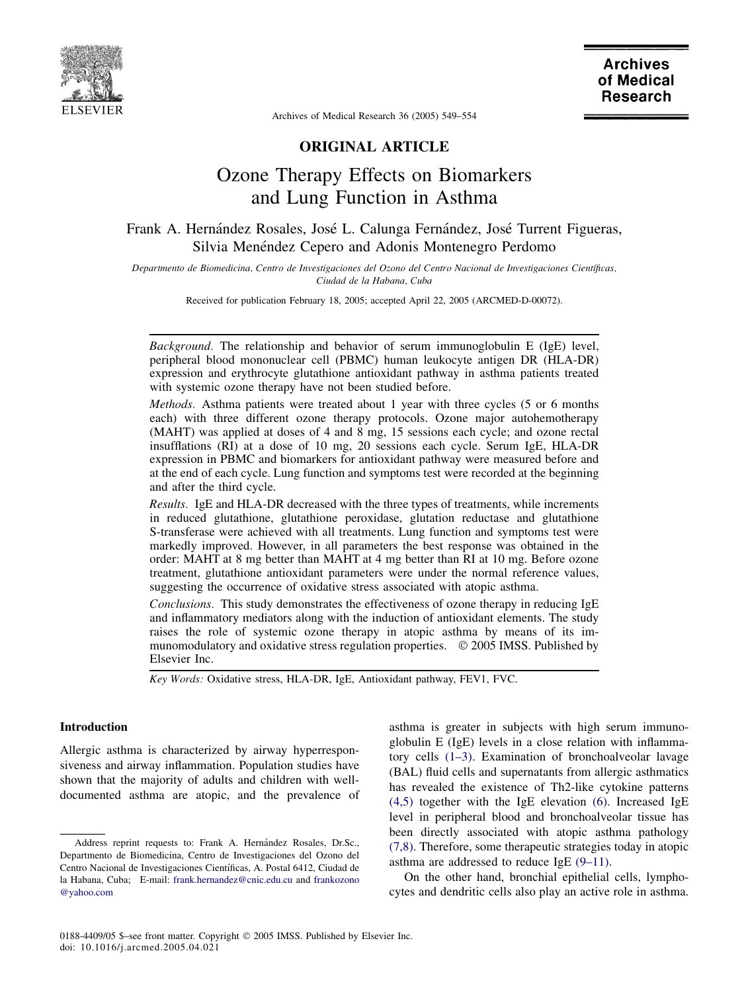

Archives of Medical Research 36 (2005) 549–554

# ORIGINAL ARTICLE

# Ozone Therapy Effects on Biomarkers and Lung Function in Asthma

# Frank A. Hernández Rosales, José L. Calunga Fernández, José Turrent Figueras, Silvia Menéndez Cepero and Adonis Montenegro Perdomo

Departmento de Biomedicina, Centro de Investigaciones del Ozono del Centro Nacional de Investigaciones Científicas, Ciudad de la Habana, Cuba

Received for publication February 18, 2005; accepted April 22, 2005 (ARCMED-D-00072).

Background. The relationship and behavior of serum immunoglobulin E (IgE) level, peripheral blood mononuclear cell (PBMC) human leukocyte antigen DR (HLA-DR) expression and erythrocyte glutathione antioxidant pathway in asthma patients treated with systemic ozone therapy have not been studied before.

Methods. Asthma patients were treated about 1 year with three cycles (5 or 6 months each) with three different ozone therapy protocols. Ozone major autohemotherapy (MAHT) was applied at doses of 4 and 8 mg, 15 sessions each cycle; and ozone rectal insufflations (RI) at a dose of 10 mg, 20 sessions each cycle. Serum IgE, HLA-DR expression in PBMC and biomarkers for antioxidant pathway were measured before and at the end of each cycle. Lung function and symptoms test were recorded at the beginning and after the third cycle.

Results. IgE and HLA-DR decreased with the three types of treatments, while increments in reduced glutathione, glutathione peroxidase, glutation reductase and glutathione S-transferase were achieved with all treatments. Lung function and symptoms test were markedly improved. However, in all parameters the best response was obtained in the order: MAHT at 8 mg better than MAHT at 4 mg better than RI at 10 mg. Before ozone treatment, glutathione antioxidant parameters were under the normal reference values, suggesting the occurrence of oxidative stress associated with atopic asthma.

Conclusions. This study demonstrates the effectiveness of ozone therapy in reducing IgE and inflammatory mediators along with the induction of antioxidant elements. The study raises the role of systemic ozone therapy in atopic asthma by means of its immunomodulatory and oxidative stress regulation properties.  $\circ$  2005 IMSS. Published by Elsevier Inc.

Key Words: Oxidative stress, HLA-DR, IgE, Antioxidant pathway, FEV1, FVC.

## Introduction

Allergic asthma is characterized by airway hyperresponsiveness and airway inflammation. Population studies have shown that the majority of adults and children with welldocumented asthma are atopic, and the prevalence of asthma is greater in subjects with high serum immunoglobulin E (IgE) levels in a close relation with inflammatory cells [\(1–3\)](#page-4-0). Examination of bronchoalveolar lavage (BAL) fluid cells and supernatants from allergic asthmatics has revealed the existence of Th2-like cytokine patterns [\(4,5\)](#page-4-0) together with the IgE elevation [\(6\).](#page-4-0) Increased IgE level in peripheral blood and bronchoalveolar tissue has been directly associated with atopic asthma pathology [\(7,8\).](#page-4-0) Therefore, some therapeutic strategies today in atopic asthma are addressed to reduce IgE [\(9–11\)](#page-4-0).

On the other hand, bronchial epithelial cells, lymphocytes and dendritic cells also play an active role in asthma.

Address reprint requests to: Frank A. Hernández Rosales, Dr.Sc., Departmento de Biomedicina, Centro de Investigaciones del Ozono del Centro Nacional de Investigaciones Científicas, A. Postal 6412, Ciudad de la Habana, Cuba; E-mail: [frank.hernandez@cnic.edu.cu](mailto:frank.hernandez@cnic.edu.cu) and [frankozono](mailto:frankozono@yahoo.com) [@yahoo.com](mailto:frankozono@yahoo.com)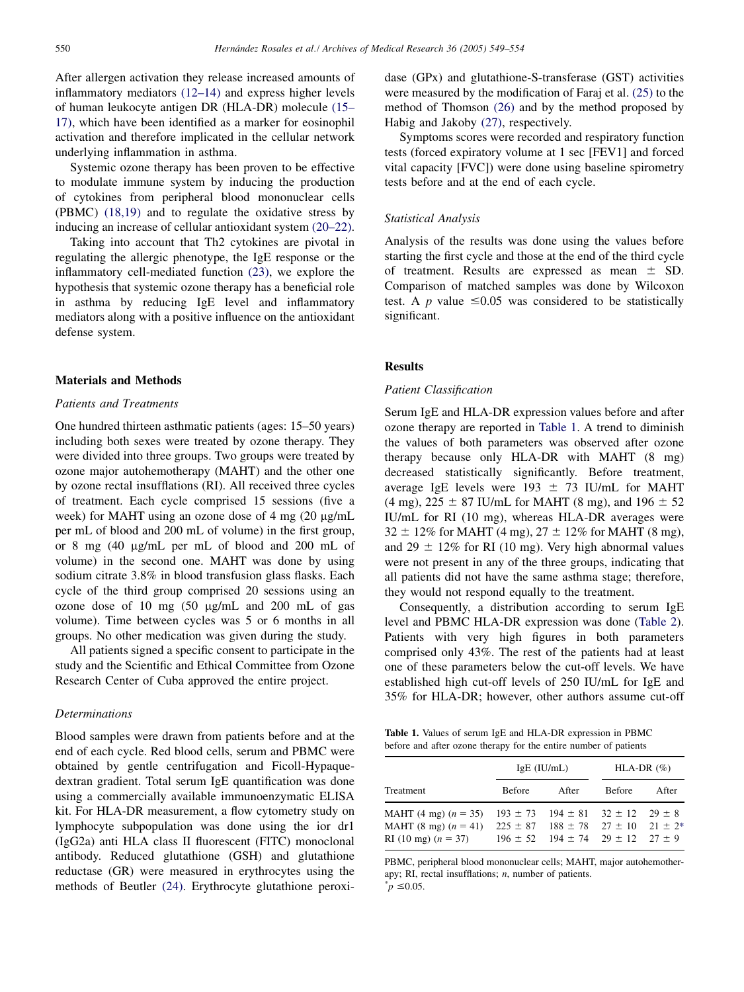After allergen activation they release increased amounts of inflammatory mediators [\(12–14\)](#page-4-0) and express higher levels of human leukocyte antigen DR (HLA-DR) molecule [\(15–](#page-4-0) [17\)](#page-4-0), which have been identified as a marker for eosinophil activation and therefore implicated in the cellular network underlying inflammation in asthma.

Systemic ozone therapy has been proven to be effective to modulate immune system by inducing the production of cytokines from peripheral blood mononuclear cells (PBMC) [\(18,19\)](#page-4-0) and to regulate the oxidative stress by inducing an increase of cellular antioxidant system [\(20–22\).](#page-4-0)

Taking into account that Th2 cytokines are pivotal in regulating the allergic phenotype, the IgE response or the inflammatory cell-mediated function [\(23\),](#page-5-0) we explore the hypothesis that systemic ozone therapy has a beneficial role in asthma by reducing IgE level and inflammatory mediators along with a positive influence on the antioxidant defense system.

## Materials and Methods

#### Patients and Treatments

One hundred thirteen asthmatic patients (ages: 15–50 years) including both sexes were treated by ozone therapy. They were divided into three groups. Two groups were treated by ozone major autohemotherapy (MAHT) and the other one by ozone rectal insufflations (RI). All received three cycles of treatment. Each cycle comprised 15 sessions (five a week) for MAHT using an ozone dose of 4 mg (20 µg/mL per mL of blood and 200 mL of volume) in the first group, or 8 mg  $(40 \mu g/mL)$  per mL of blood and 200 mL of volume) in the second one. MAHT was done by using sodium citrate 3.8% in blood transfusion glass flasks. Each cycle of the third group comprised 20 sessions using an ozone dose of 10 mg (50 µg/mL and 200 mL of gas volume). Time between cycles was 5 or 6 months in all groups. No other medication was given during the study.

All patients signed a specific consent to participate in the study and the Scientific and Ethical Committee from Ozone Research Center of Cuba approved the entire project.

### **Determinations**

Blood samples were drawn from patients before and at the end of each cycle. Red blood cells, serum and PBMC were obtained by gentle centrifugation and Ficoll-Hypaquedextran gradient. Total serum IgE quantification was done using a commercially available immunoenzymatic ELISA kit. For HLA-DR measurement, a flow cytometry study on lymphocyte subpopulation was done using the ior dr1 (IgG2a) anti HLA class II fluorescent (FITC) monoclonal antibody. Reduced glutathione (GSH) and glutathione reductase (GR) were measured in erythrocytes using the methods of Beutler [\(24\)](#page-5-0). Erythrocyte glutathione peroxidase (GPx) and glutathione-S-transferase (GST) activities were measured by the modification of Faraj et al. [\(25\)](#page-5-0) to the method of Thomson [\(26\)](#page-5-0) and by the method proposed by Habig and Jakoby [\(27\),](#page-5-0) respectively.

Symptoms scores were recorded and respiratory function tests (forced expiratory volume at 1 sec [FEV1] and forced vital capacity [FVC]) were done using baseline spirometry tests before and at the end of each cycle.

## Statistical Analysis

Analysis of the results was done using the values before starting the first cycle and those at the end of the third cycle of treatment. Results are expressed as mean  $\pm$  SD. Comparison of matched samples was done by Wilcoxon test. A p value  $\leq 0.05$  was considered to be statistically significant.

# Results

#### Patient Classification

Serum IgE and HLA-DR expression values before and after ozone therapy are reported in Table 1. A trend to diminish the values of both parameters was observed after ozone therapy because only HLA-DR with MAHT (8 mg) decreased statistically significantly. Before treatment, average IgE levels were 193  $\pm$  73 IU/mL for MAHT (4 mg),  $225 \pm 87$  IU/mL for MAHT (8 mg), and  $196 \pm 52$ IU/mL for RI (10 mg), whereas HLA-DR averages were  $32 \pm 12\%$  for MAHT (4 mg),  $27 \pm 12\%$  for MAHT (8 mg), and 29  $\pm$  12% for RI (10 mg). Very high abnormal values were not present in any of the three groups, indicating that all patients did not have the same asthma stage; therefore, they would not respond equally to the treatment.

Consequently, a distribution according to serum IgE level and PBMC HLA-DR expression was done ([Table 2](#page-2-0)). Patients with very high figures in both parameters comprised only 43%. The rest of the patients had at least one of these parameters below the cut-off levels. We have established high cut-off levels of 250 IU/mL for IgE and 35% for HLA-DR; however, other authors assume cut-off

Table 1. Values of serum IgE and HLA-DR expression in PBMC before and after ozone therapy for the entire number of patients

|                                                                                           |        | $IgE$ (IU/mL)                                                                                                                                              | HLA-DR $(\%)$ |       |
|-------------------------------------------------------------------------------------------|--------|------------------------------------------------------------------------------------------------------------------------------------------------------------|---------------|-------|
| Treatment                                                                                 | Before | After                                                                                                                                                      | <b>Before</b> | After |
| MAHT $(4 \text{ mg}) (n = 35)$<br>MAHT $(8 \text{ mg}) (n = 41)$<br>RI (10 mg) $(n = 37)$ |        | $193 \pm 73$ $194 \pm 81$ $32 \pm 12$ $29 \pm 8$<br>$225 \pm 87$ $188 \pm 78$ $27 \pm 10$ $21 \pm 2^*$<br>$196 \pm 52$ $194 \pm 74$ $29 \pm 12$ $27 \pm 9$ |               |       |

PBMC, peripheral blood mononuclear cells; MAHT, major autohemotherapy; RI, rectal insufflations;  $n$ , number of patients.  $p^* = 0.05$ .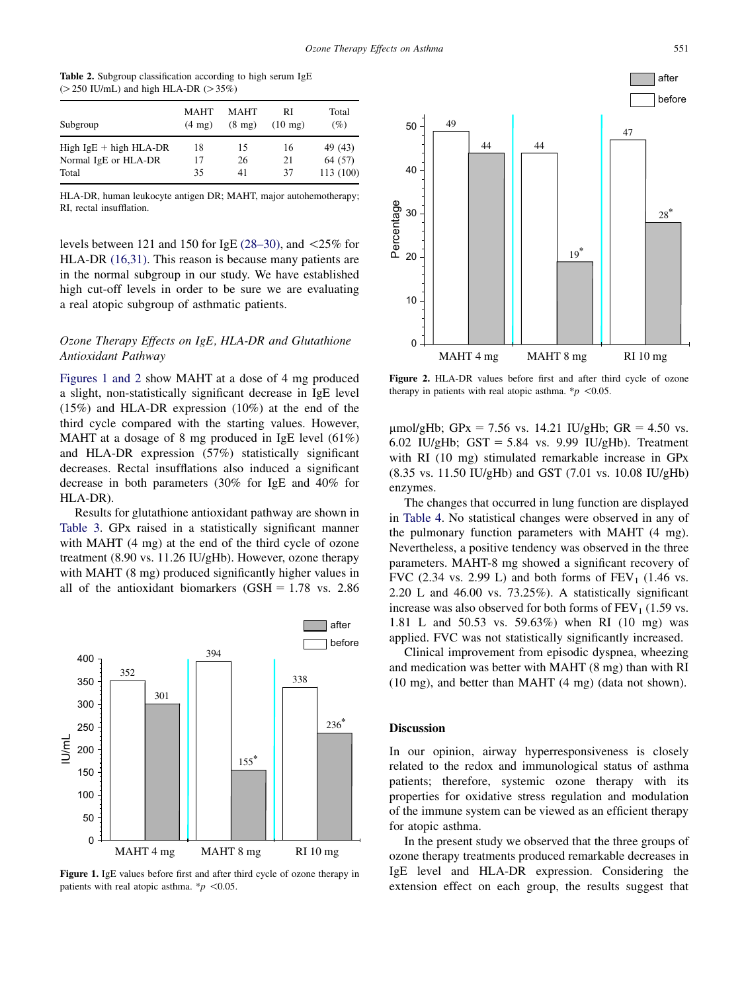<span id="page-2-0"></span>

|  | <b>Table 2.</b> Subgroup classification according to high serum IgE |  |  |
|--|---------------------------------------------------------------------|--|--|
|  | $(>250$ IU/mL) and high HLA-DR $(>35\%)$                            |  |  |

| Subgroup                 | <b>MAHT</b><br>$(4 \text{ mg})$ | <b>MAHT</b><br>$(8 \text{ mg})$ | RI<br>$(10 \text{ mg})$ | Total<br>(%) |
|--------------------------|---------------------------------|---------------------------------|-------------------------|--------------|
| High $IgE + high HLA-DR$ | 18                              | 15                              | 16                      | 49 (43)      |
| Normal IgE or HLA-DR     | 17                              | 26                              | 21                      | 64 (57)      |
| Total                    | 35                              | 41                              | 37                      | 113(100)     |

HLA-DR, human leukocyte antigen DR; MAHT, major autohemotherapy; RI, rectal insufflation.

levels between 121 and 150 for IgE  $(28-30)$ , and  $\leq 25\%$  for HLA-DR [\(16,31\)](#page-4-0). This reason is because many patients are in the normal subgroup in our study. We have established high cut-off levels in order to be sure we are evaluating a real atopic subgroup of asthmatic patients.

# Ozone Therapy Effects on IgE, HLA-DR and Glutathione Antioxidant Pathway

Figures 1 and 2 show MAHT at a dose of 4 mg produced a slight, non-statistically significant decrease in IgE level (15%) and HLA-DR expression (10%) at the end of the third cycle compared with the starting values. However, MAHT at a dosage of 8 mg produced in IgE level (61%) and HLA-DR expression (57%) statistically significant decreases. Rectal insufflations also induced a significant decrease in both parameters (30% for IgE and 40% for HLA-DR).

Results for glutathione antioxidant pathway are shown in [Table 3.](#page-3-0) GPx raised in a statistically significant manner with MAHT (4 mg) at the end of the third cycle of ozone treatment (8.90 vs. 11.26 IU/gHb). However, ozone therapy with MAHT (8 mg) produced significantly higher values in all of the antioxidant biomarkers  $(GSH = 1.78 \text{ vs. } 2.86$ 



Figure 1. IgE values before first and after third cycle of ozone therapy in patients with real atopic asthma.  $\frac{k}{p}$  <0.05.



Figure 2. HLA-DR values before first and after third cycle of ozone therapy in patients with real atopic asthma. \* $p$  <0.05.

 $\mu$ mol/gHb; GPx = 7.56 vs. 14.21 IU/gHb; GR = 4.50 vs. 6.02 IU/gHb;  $GST = 5.84$  vs. 9.99 IU/gHb). Treatment with RI (10 mg) stimulated remarkable increase in GPx (8.35 vs. 11.50 IU/gHb) and GST (7.01 vs. 10.08 IU/gHb) enzymes.

The changes that occurred in lung function are displayed in [Table 4](#page-3-0). No statistical changes were observed in any of the pulmonary function parameters with MAHT (4 mg). Nevertheless, a positive tendency was observed in the three parameters. MAHT-8 mg showed a significant recovery of FVC (2.34 vs. 2.99 L) and both forms of  $FEV<sub>1</sub>$  (1.46 vs. 2.20 L and 46.00 vs. 73.25%). A statistically significant increase was also observed for both forms of  $FEV<sub>1</sub>$  (1.59 vs. 1.81 L and 50.53 vs. 59.63%) when RI (10 mg) was applied. FVC was not statistically significantly increased.

Clinical improvement from episodic dyspnea, wheezing and medication was better with MAHT (8 mg) than with RI (10 mg), and better than MAHT (4 mg) (data not shown).

### **Discussion**

In our opinion, airway hyperresponsiveness is closely related to the redox and immunological status of asthma patients; therefore, systemic ozone therapy with its properties for oxidative stress regulation and modulation of the immune system can be viewed as an efficient therapy for atopic asthma.

In the present study we observed that the three groups of ozone therapy treatments produced remarkable decreases in IgE level and HLA-DR expression. Considering the extension effect on each group, the results suggest that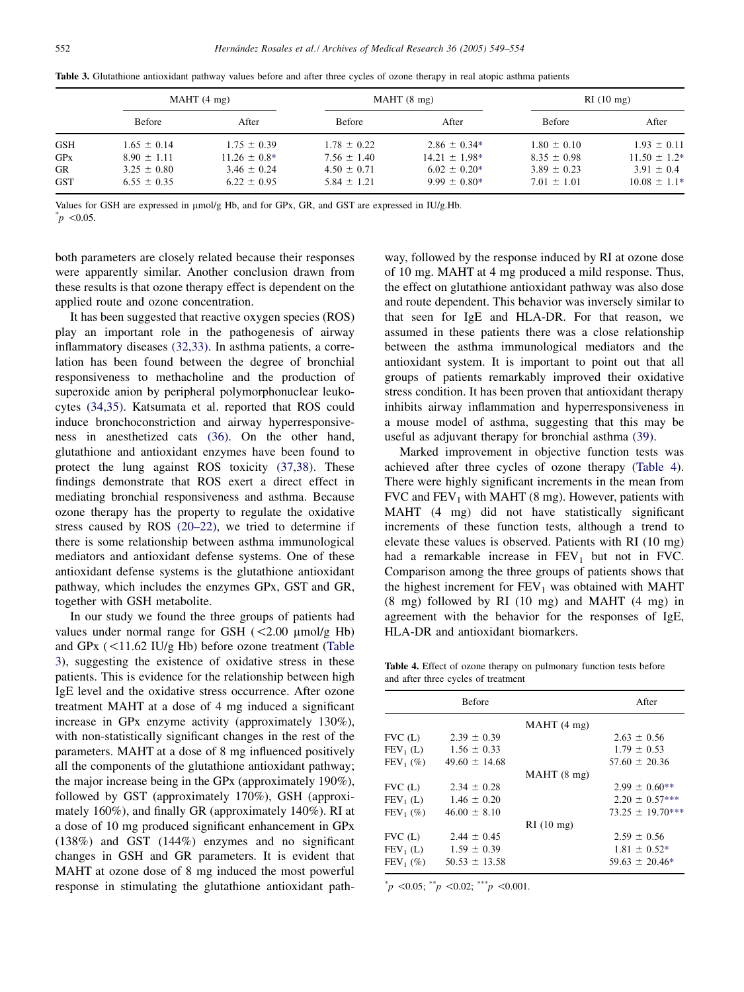| MAHT(4 mg)                         |                                    |                                    | MAHT(8 mg)                           |                                    | RI(10 mg)                           |  |
|------------------------------------|------------------------------------|------------------------------------|--------------------------------------|------------------------------------|-------------------------------------|--|
| Before                             | After                              | Before                             | After                                | Before                             | After                               |  |
| $1.65 \pm 0.14$                    | $1.75 \pm 0.39$                    | $1.78 \pm 0.22$                    | $2.86 \pm 0.34*$                     | $1.80 \pm 0.10$                    | $1.93 \pm 0.11$<br>$11.50 \pm 1.2*$ |  |
| $3.25 \pm 0.80$<br>$6.55 \pm 0.35$ | $3.46 \pm 0.24$<br>$6.22 \pm 0.95$ | $4.50 \pm 0.71$<br>$5.84 \pm 1.21$ | $6.02 \pm 0.20*$<br>$9.99 \pm 0.80*$ | $3.89 \pm 0.23$<br>$7.01 \pm 1.01$ | $3.91 \pm 0.4$<br>$10.08 \pm 1.1*$  |  |
|                                    | $8.90 \pm 1.11$                    | $11.26 \pm 0.8^*$                  | $7.56 \pm 1.40$                      | $14.21 \pm 1.98*$                  | $8.35 \pm 0.98$                     |  |

<span id="page-3-0"></span>Table 3. Glutathione antioxidant pathway values before and after three cycles of ozone therapy in real atopic asthma patients

Values for GSH are expressed in  $\mu$ mol/g Hb, and for GPx, GR, and GST are expressed in IU/g.Hb.

 $p \leq 0.05$ .

both parameters are closely related because their responses were apparently similar. Another conclusion drawn from these results is that ozone therapy effect is dependent on the applied route and ozone concentration.

It has been suggested that reactive oxygen species (ROS) play an important role in the pathogenesis of airway inflammatory diseases [\(32,33\)](#page-5-0). In asthma patients, a correlation has been found between the degree of bronchial responsiveness to methacholine and the production of superoxide anion by peripheral polymorphonuclear leukocytes [\(34,35\)](#page-5-0). Katsumata et al. reported that ROS could induce bronchoconstriction and airway hyperresponsiveness in anesthetized cats [\(36\)](#page-5-0). On the other hand, glutathione and antioxidant enzymes have been found to protect the lung against ROS toxicity [\(37,38\)](#page-5-0). These findings demonstrate that ROS exert a direct effect in mediating bronchial responsiveness and asthma. Because ozone therapy has the property to regulate the oxidative stress caused by ROS [\(20–22\)](#page-4-0), we tried to determine if there is some relationship between asthma immunological mediators and antioxidant defense systems. One of these antioxidant defense systems is the glutathione antioxidant pathway, which includes the enzymes GPx, GST and GR, together with GSH metabolite.

In our study we found the three groups of patients had values under normal range for GSH  $(<2.00 \mu mol/g$  Hb) and GPx  $(<11.62$  IU/g Hb) before ozone treatment (Table 3), suggesting the existence of oxidative stress in these patients. This is evidence for the relationship between high IgE level and the oxidative stress occurrence. After ozone treatment MAHT at a dose of 4 mg induced a significant increase in GPx enzyme activity (approximately 130%), with non-statistically significant changes in the rest of the parameters. MAHT at a dose of 8 mg influenced positively all the components of the glutathione antioxidant pathway; the major increase being in the GPx (approximately 190%), followed by GST (approximately 170%), GSH (approximately 160%), and finally GR (approximately 140%). RI at a dose of 10 mg produced significant enhancement in GPx (138%) and GST (144%) enzymes and no significant changes in GSH and GR parameters. It is evident that MAHT at ozone dose of 8 mg induced the most powerful response in stimulating the glutathione antioxidant pathway, followed by the response induced by RI at ozone dose of 10 mg. MAHT at 4 mg produced a mild response. Thus, the effect on glutathione antioxidant pathway was also dose and route dependent. This behavior was inversely similar to that seen for IgE and HLA-DR. For that reason, we assumed in these patients there was a close relationship between the asthma immunological mediators and the antioxidant system. It is important to point out that all groups of patients remarkably improved their oxidative stress condition. It has been proven that antioxidant therapy inhibits airway inflammation and hyperresponsiveness in a mouse model of asthma, suggesting that this may be useful as adjuvant therapy for bronchial asthma [\(39\).](#page-5-0)

Marked improvement in objective function tests was achieved after three cycles of ozone therapy (Table 4). There were highly significant increments in the mean from FVC and  $FEV<sub>1</sub>$  with MAHT (8 mg). However, patients with MAHT (4 mg) did not have statistically significant increments of these function tests, although a trend to elevate these values is observed. Patients with RI (10 mg) had a remarkable increase in  $FEV<sub>1</sub>$  but not in FVC. Comparison among the three groups of patients shows that the highest increment for  $FEV<sub>1</sub>$  was obtained with MAHT (8 mg) followed by RI (10 mg) and MAHT (4 mg) in agreement with the behavior for the responses of IgE, HLA-DR and antioxidant biomarkers.

Table 4. Effect of ozone therapy on pulmonary function tests before and after three cycles of treatment

|             | <b>Before</b>     |            | After                |
|-------------|-------------------|------------|----------------------|
|             |                   | MAHT(4 mg) |                      |
| $FVC$ (L)   | $2.39 \pm 0.39$   |            | $2.63 \pm 0.56$      |
| $FEV1$ (L)  | $1.56 \pm 0.33$   |            | $1.79 \pm 0.53$      |
| $FEV_1(\%)$ | $49.60 \pm 14.68$ |            | $57.60 \pm 20.36$    |
|             |                   | MAHT(8 mg) |                      |
| $FVC$ (L)   | $2.34 \pm 0.28$   |            | $2.99 \pm 0.60**$    |
| $FEV1$ (L)  | $1.46 \pm 0.20$   |            | $2.20 \pm 0.57***$   |
| $FEV_1(\%)$ | $46.00 \pm 8.10$  |            | $73.25 \pm 19.70***$ |
|             |                   | RI(10 mg)  |                      |
| $FVC$ (L)   | $2.44 \pm 0.45$   |            | $2.59 \pm 0.56$      |
| $FEV1$ (L)  | $1.59 \pm 0.39$   |            | $1.81 \pm 0.52*$     |
| $FEV_1(\%)$ | $50.53 \pm 13.58$ |            | $59.63 \pm 20.46*$   |
|             |                   |            |                      |

 $p^*$  < 0.05;  $p^*$  < 0.02;  $p^*$  = 10.001.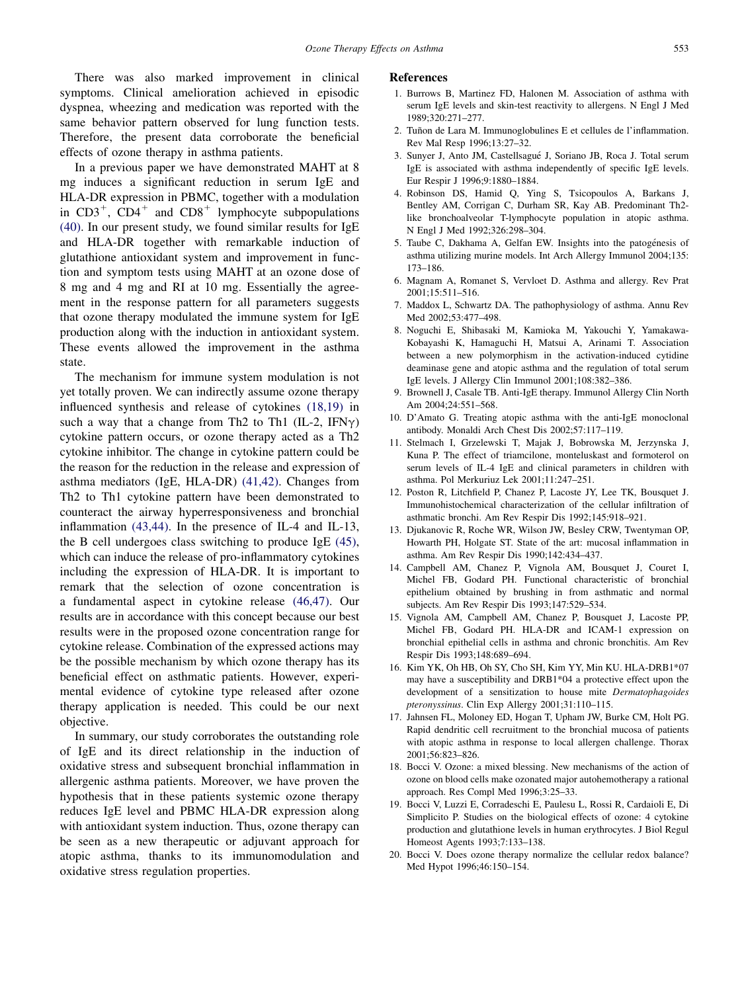<span id="page-4-0"></span>There was also marked improvement in clinical symptoms. Clinical amelioration achieved in episodic dyspnea, wheezing and medication was reported with the same behavior pattern observed for lung function tests. Therefore, the present data corroborate the beneficial effects of ozone therapy in asthma patients.

In a previous paper we have demonstrated MAHT at 8 mg induces a significant reduction in serum IgE and HLA-DR expression in PBMC, together with a modulation in  $CD3^+$ ,  $CD4^+$  and  $CD8^+$  lymphocyte subpopulations [\(40\)](#page-5-0). In our present study, we found similar results for IgE and HLA-DR together with remarkable induction of glutathione antioxidant system and improvement in function and symptom tests using MAHT at an ozone dose of 8 mg and 4 mg and RI at 10 mg. Essentially the agreement in the response pattern for all parameters suggests that ozone therapy modulated the immune system for IgE production along with the induction in antioxidant system. These events allowed the improvement in the asthma state.

The mechanism for immune system modulation is not yet totally proven. We can indirectly assume ozone therapy influenced synthesis and release of cytokines (18,19) in such a way that a change from Th2 to Th1 (IL-2, IFN $\gamma$ ) cytokine pattern occurs, or ozone therapy acted as a Th2 cytokine inhibitor. The change in cytokine pattern could be the reason for the reduction in the release and expression of asthma mediators (IgE, HLA-DR) [\(41,42\)](#page-5-0). Changes from Th2 to Th1 cytokine pattern have been demonstrated to counteract the airway hyperresponsiveness and bronchial inflammation [\(43,44\)](#page-5-0). In the presence of IL-4 and IL-13, the B cell undergoes class switching to produce IgE [\(45\)](#page-5-0), which can induce the release of pro-inflammatory cytokines including the expression of HLA-DR. It is important to remark that the selection of ozone concentration is a fundamental aspect in cytokine release [\(46,47\).](#page-5-0) Our results are in accordance with this concept because our best results were in the proposed ozone concentration range for cytokine release. Combination of the expressed actions may be the possible mechanism by which ozone therapy has its beneficial effect on asthmatic patients. However, experimental evidence of cytokine type released after ozone therapy application is needed. This could be our next objective.

In summary, our study corroborates the outstanding role of IgE and its direct relationship in the induction of oxidative stress and subsequent bronchial inflammation in allergenic asthma patients. Moreover, we have proven the hypothesis that in these patients systemic ozone therapy reduces IgE level and PBMC HLA-DR expression along with antioxidant system induction. Thus, ozone therapy can be seen as a new therapeutic or adjuvant approach for atopic asthma, thanks to its immunomodulation and oxidative stress regulation properties.

#### References

- 1. Burrows B, Martinez FD, Halonen M. Association of asthma with serum IgE levels and skin-test reactivity to allergens. N Engl J Med 1989;320:271–277.
- 2. Tuñon de Lara M. Immunoglobulines E et cellules de l'inflammation. Rev Mal Resp 1996;13:27–32.
- 3. Sunyer J, Anto JM, Castellsagué J, Soriano JB, Roca J. Total serum IgE is associated with asthma independently of specific IgE levels. Eur Respir J 1996;9:1880–1884.
- 4. Robinson DS, Hamid Q, Ying S, Tsicopoulos A, Barkans J, Bentley AM, Corrigan C, Durham SR, Kay AB. Predominant Th2 like bronchoalveolar T-lymphocyte population in atopic asthma. N Engl J Med 1992;326:298–304.
- 5. Taube C, Dakhama A, Gelfan EW. Insights into the patogénesis of asthma utilizing murine models. Int Arch Allergy Immunol 2004;135: 173–186.
- 6. Magnam A, Romanet S, Vervloet D. Asthma and allergy. Rev Prat 2001;15:511–516.
- 7. Maddox L, Schwartz DA. The pathophysiology of asthma. Annu Rev Med 2002;53:477–498.
- 8. Noguchi E, Shibasaki M, Kamioka M, Yakouchi Y, Yamakawa-Kobayashi K, Hamaguchi H, Matsui A, Arinami T. Association between a new polymorphism in the activation-induced cytidine deaminase gene and atopic asthma and the regulation of total serum IgE levels. J Allergy Clin Immunol 2001;108:382–386.
- 9. Brownell J, Casale TB. Anti-IgE therapy. Immunol Allergy Clin North Am 2004;24:551–568.
- 10. D'Amato G. Treating atopic asthma with the anti-IgE monoclonal antibody. Monaldi Arch Chest Dis 2002;57:117–119.
- 11. Stelmach I, Grzelewski T, Majak J, Bobrowska M, Jerzynska J, Kuna P. The effect of triamcilone, monteluskast and formoterol on serum levels of IL-4 IgE and clinical parameters in children with asthma. Pol Merkuriuz Lek 2001;11:247–251.
- 12. Poston R, Litchfield P, Chanez P, Lacoste JY, Lee TK, Bousquet J. Immunohistochemical characterization of the cellular infiltration of asthmatic bronchi. Am Rev Respir Dis 1992;145:918–921.
- 13. Djukanovic R, Roche WR, Wilson JW, Besley CRW, Twentyman OP, Howarth PH, Holgate ST. State of the art: mucosal inflammation in asthma. Am Rev Respir Dis 1990;142:434–437.
- 14. Campbell AM, Chanez P, Vignola AM, Bousquet J, Couret I, Michel FB, Godard PH. Functional characteristic of bronchial epithelium obtained by brushing in from asthmatic and normal subjects. Am Rev Respir Dis 1993;147:529–534.
- 15. Vignola AM, Campbell AM, Chanez P, Bousquet J, Lacoste PP, Michel FB, Godard PH. HLA-DR and ICAM-1 expression on bronchial epithelial cells in asthma and chronic bronchitis. Am Rev Respir Dis 1993;148:689–694.
- 16. Kim YK, Oh HB, Oh SY, Cho SH, Kim YY, Min KU. HLA-DRB1\*07 may have a susceptibility and DRB1\*04 a protective effect upon the development of a sensitization to house mite Dermatophagoides pteronyssinus. Clin Exp Allergy 2001;31:110–115.
- 17. Jahnsen FL, Moloney ED, Hogan T, Upham JW, Burke CM, Holt PG. Rapid dendritic cell recruitment to the bronchial mucosa of patients with atopic asthma in response to local allergen challenge. Thorax 2001;56:823–826.
- 18. Bocci V. Ozone: a mixed blessing. New mechanisms of the action of ozone on blood cells make ozonated major autohemotherapy a rational approach. Res Compl Med 1996;3:25–33.
- 19. Bocci V, Luzzi E, Corradeschi E, Paulesu L, Rossi R, Cardaioli E, Di Simplicito P. Studies on the biological effects of ozone: 4 cytokine production and glutathione levels in human erythrocytes. J Biol Regul Homeost Agents 1993;7:133–138.
- 20. Bocci V. Does ozone therapy normalize the cellular redox balance? Med Hypot 1996;46:150–154.